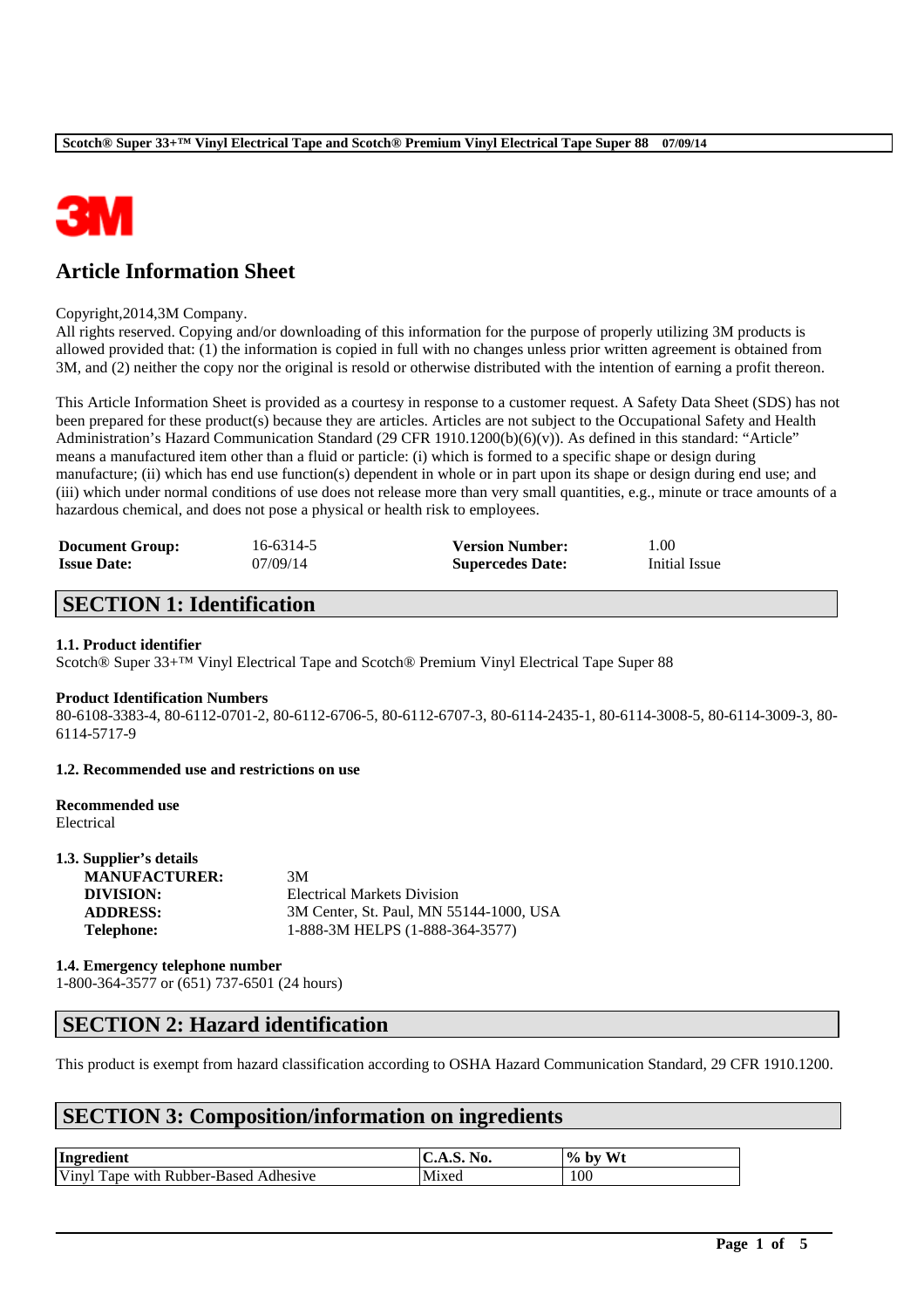

# **Article Information Sheet**

#### Copyright,2014,3M Company.

All rights reserved. Copying and/or downloading of this information for the purpose of properly utilizing 3M products is allowed provided that: (1) the information is copied in full with no changes unless prior written agreement is obtained from 3M, and (2) neither the copy nor the original is resold or otherwise distributed with the intention of earning a profit thereon.

This Article Information Sheet is provided as a courtesy in response to a customer request. A Safety Data Sheet (SDS) has not been prepared for these product(s) because they are articles. Articles are not subject to the Occupational Safety and Health Administration's Hazard Communication Standard (29 CFR 1910.1200(b)(6)(v)). As defined in this standard: "Article" means a manufactured item other than a fluid or particle: (i) which is formed to a specific shape or design during manufacture; (ii) which has end use function(s) dependent in whole or in part upon its shape or design during end use; and (iii) which under normal conditions of use does not release more than very small quantities, e.g., minute or trace amounts of a hazardous chemical, and does not pose a physical or health risk to employees.

| <b>Document Group:</b> | 16-6314-5 | <b>Version Number:</b>  | 1.00          |
|------------------------|-----------|-------------------------|---------------|
| <b>Issue Date:</b>     | 07/09/14  | <b>Supercedes Date:</b> | Initial Issue |

# **SECTION 1: Identification**

#### **1.1. Product identifier**

Scotch® Super 33+™ Vinyl Electrical Tape and Scotch® Premium Vinyl Electrical Tape Super 88

#### **Product Identification Numbers**

80-6108-3383-4, 80-6112-0701-2, 80-6112-6706-5, 80-6112-6707-3, 80-6114-2435-1, 80-6114-3008-5, 80-6114-3009-3, 80- 6114-5717-9

#### **1.2. Recommended use and restrictions on use**

#### **Recommended use** Electrical

| 1.3. Supplier's details |                                         |
|-------------------------|-----------------------------------------|
| <b>MANUFACTURER:</b>    | 3M                                      |
| DIVISION:               | <b>Electrical Markets Division</b>      |
| <b>ADDRESS:</b>         | 3M Center, St. Paul, MN 55144-1000, USA |
| <b>Telephone:</b>       | 1-888-3M HELPS (1-888-364-3577)         |
|                         |                                         |

**1.4. Emergency telephone number** 1-800-364-3577 or (651) 737-6501 (24 hours)

# **SECTION 2: Hazard identification**

This product is exempt from hazard classification according to OSHA Hazard Communication Standard, 29 CFR 1910.1200.

\_\_\_\_\_\_\_\_\_\_\_\_\_\_\_\_\_\_\_\_\_\_\_\_\_\_\_\_\_\_\_\_\_\_\_\_\_\_\_\_\_\_\_\_\_\_\_\_\_\_\_\_\_\_\_\_\_\_\_\_\_\_\_\_\_\_\_\_\_\_\_\_\_\_\_\_\_\_\_\_\_\_\_\_\_\_\_\_\_\_

# **SECTION 3: Composition/information on ingredients**

| Ingredient                            | C.A.S. No. | $\%$ by<br>W1 |
|---------------------------------------|------------|---------------|
| Vinyl Tape with Rubber-Based Adhesive | Mixea      | 100           |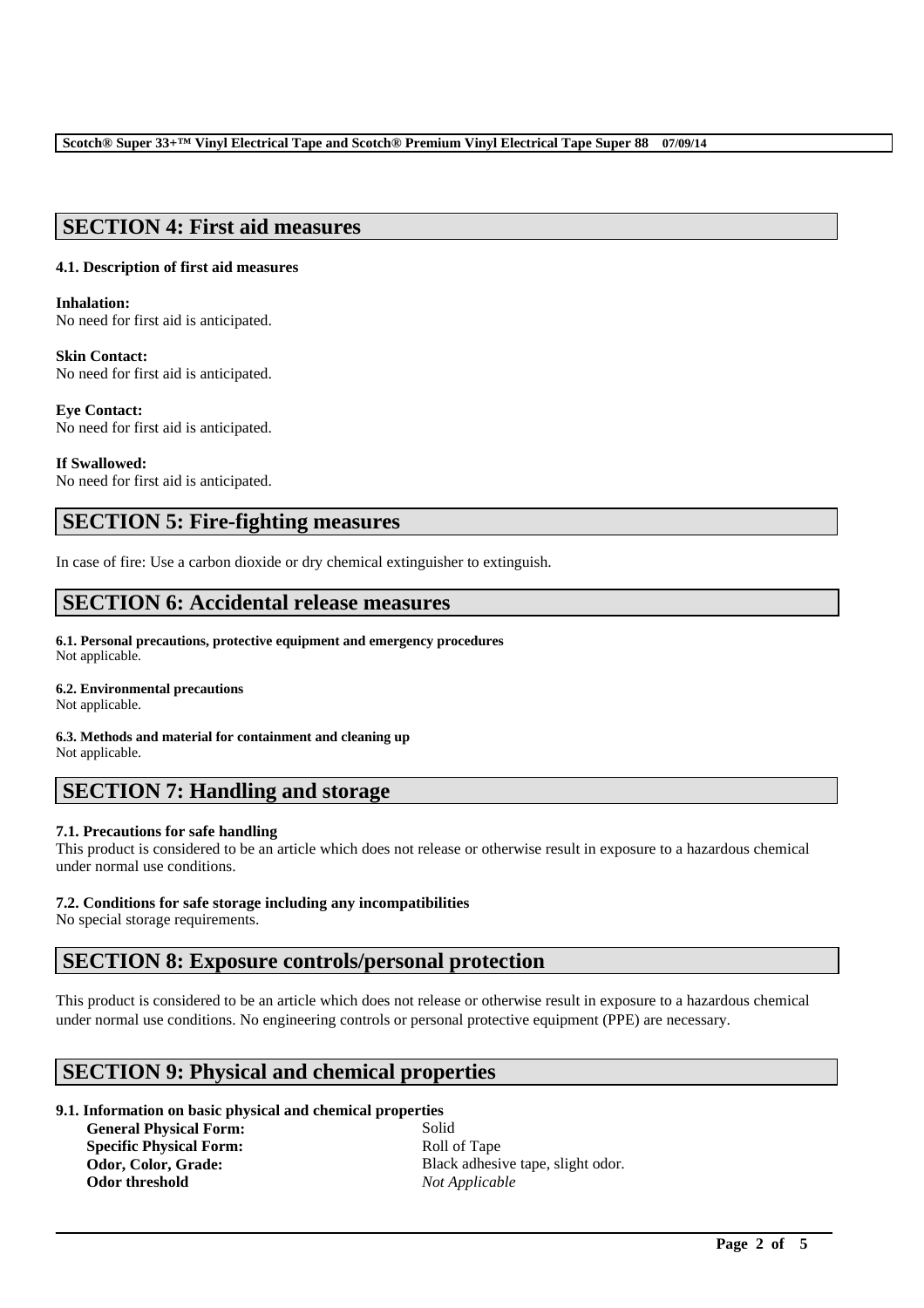## **SECTION 4: First aid measures**

#### **4.1. Description of first aid measures**

**Inhalation:**  No need for first aid is anticipated.

### **Skin Contact:**

No need for first aid is anticipated.

#### **Eye Contact:**

No need for first aid is anticipated.

#### **If Swallowed:**

No need for first aid is anticipated.

# **SECTION 5: Fire-fighting measures**

In case of fire: Use a carbon dioxide or dry chemical extinguisher to extinguish.

# **SECTION 6: Accidental release measures**

**6.1. Personal precautions, protective equipment and emergency procedures** Not applicable.

#### **6.2. Environmental precautions**

Not applicable.

**6.3. Methods and material for containment and cleaning up** Not applicable.

# **SECTION 7: Handling and storage**

#### **7.1. Precautions for safe handling**

This product is considered to be an article which does not release or otherwise result in exposure to a hazardous chemical under normal use conditions.

#### **7.2. Conditions for safe storage including any incompatibilities**

No special storage requirements.

# **SECTION 8: Exposure controls/personal protection**

This product is considered to be an article which does not release or otherwise result in exposure to a hazardous chemical under normal use conditions. No engineering controls or personal protective equipment (PPE) are necessary.

\_\_\_\_\_\_\_\_\_\_\_\_\_\_\_\_\_\_\_\_\_\_\_\_\_\_\_\_\_\_\_\_\_\_\_\_\_\_\_\_\_\_\_\_\_\_\_\_\_\_\_\_\_\_\_\_\_\_\_\_\_\_\_\_\_\_\_\_\_\_\_\_\_\_\_\_\_\_\_\_\_\_\_\_\_\_\_\_\_\_

# **SECTION 9: Physical and chemical properties**

#### **9.1. Information on basic physical and chemical properties**

**General Physical Form:** Solid **Specific Physical Form:** Roll of Tape **Odor threshold** *Not Applicable*

**Odor, Color, Grade:** Black adhesive tape, slight odor.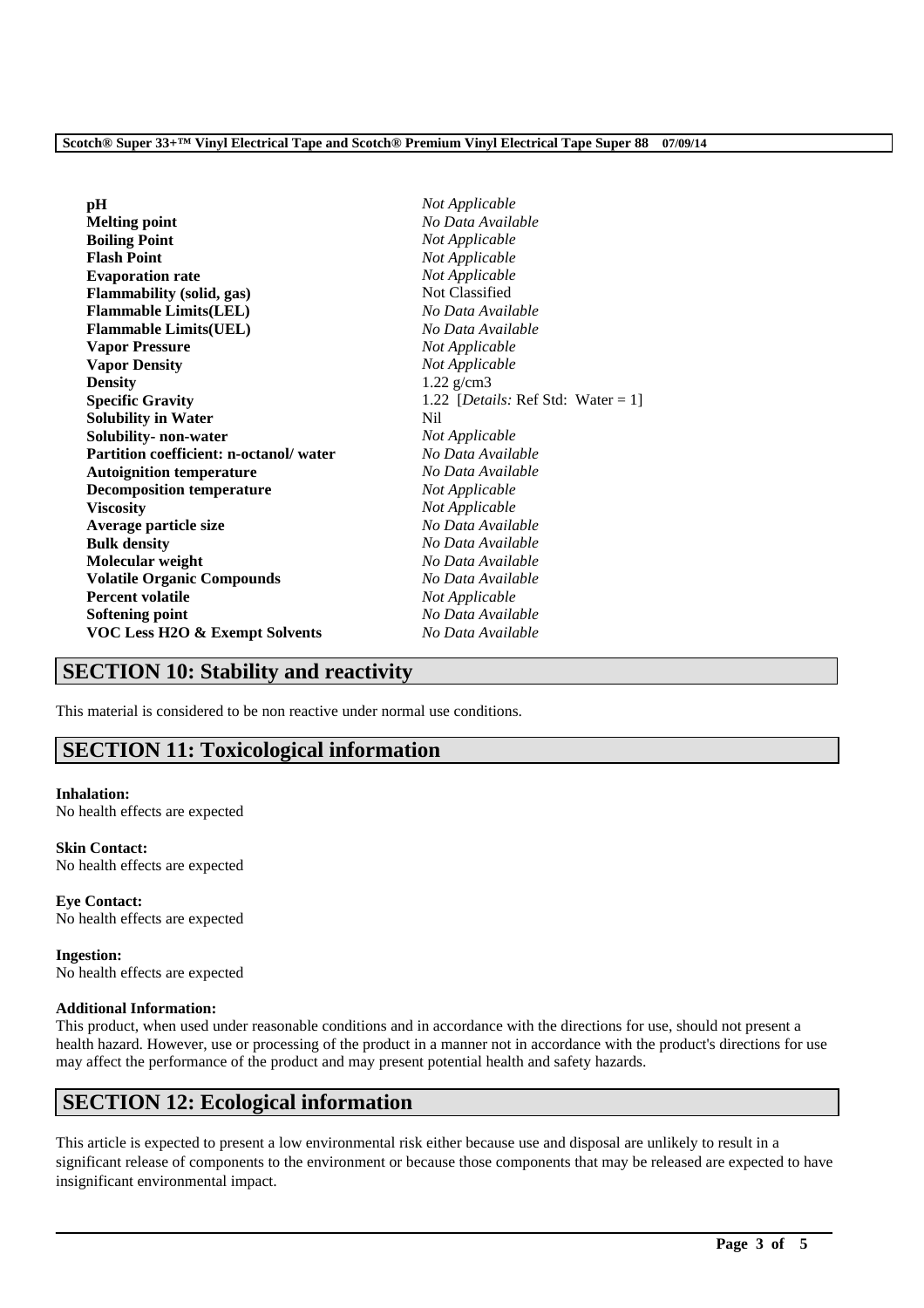| pН                                        | Not Applicable                             |
|-------------------------------------------|--------------------------------------------|
| <b>Melting point</b>                      | No Data Available                          |
| <b>Boiling Point</b>                      | Not Applicable                             |
| <b>Flash Point</b>                        | Not Applicable                             |
| <b>Evaporation rate</b>                   | Not Applicable                             |
| <b>Flammability (solid, gas)</b>          | Not Classified                             |
| <b>Flammable Limits(LEL)</b>              | No Data Available                          |
| <b>Flammable Limits(UEL)</b>              | No Data Available                          |
| <b>Vapor Pressure</b>                     | Not Applicable                             |
| <b>Vapor Density</b>                      | Not Applicable                             |
| <b>Density</b>                            | $1.22$ g/cm3                               |
| <b>Specific Gravity</b>                   | 1.22 [ <i>Details:</i> Ref Std: Water = 1] |
| <b>Solubility in Water</b>                | N <sub>i</sub>                             |
| Solubility- non-water                     | Not Applicable                             |
| Partition coefficient: n-octanol/water    | No Data Available                          |
| <b>Autoignition temperature</b>           | No Data Available                          |
| <b>Decomposition temperature</b>          | Not Applicable                             |
| <b>Viscosity</b>                          | Not Applicable                             |
| Average particle size                     | No Data Available                          |
| <b>Bulk density</b>                       | No Data Available                          |
| Molecular weight                          | No Data Available                          |
| <b>Volatile Organic Compounds</b>         | No Data Available                          |
| <b>Percent volatile</b>                   | Not Applicable                             |
| Softening point                           | No Data Available                          |
| <b>VOC Less H2O &amp; Exempt Solvents</b> | No Data Available                          |
|                                           |                                            |

# **SECTION 10: Stability and reactivity**

This material is considered to be non reactive under normal use conditions.

# **SECTION 11: Toxicological information**

# **Inhalation:**

No health effects are expected

# **Skin Contact:**

No health effects are expected

**Eye Contact:** No health effects are expected

**Ingestion:** No health effects are expected

#### **Additional Information:**

This product, when used under reasonable conditions and in accordance with the directions for use, should not present a health hazard. However, use or processing of the product in a manner not in accordance with the product's directions for use may affect the performance of the product and may present potential health and safety hazards.

# **SECTION 12: Ecological information**

This article is expected to present a low environmental risk either because use and disposal are unlikely to result in a significant release of components to the environment or because those components that may be released are expected to have insignificant environmental impact.

\_\_\_\_\_\_\_\_\_\_\_\_\_\_\_\_\_\_\_\_\_\_\_\_\_\_\_\_\_\_\_\_\_\_\_\_\_\_\_\_\_\_\_\_\_\_\_\_\_\_\_\_\_\_\_\_\_\_\_\_\_\_\_\_\_\_\_\_\_\_\_\_\_\_\_\_\_\_\_\_\_\_\_\_\_\_\_\_\_\_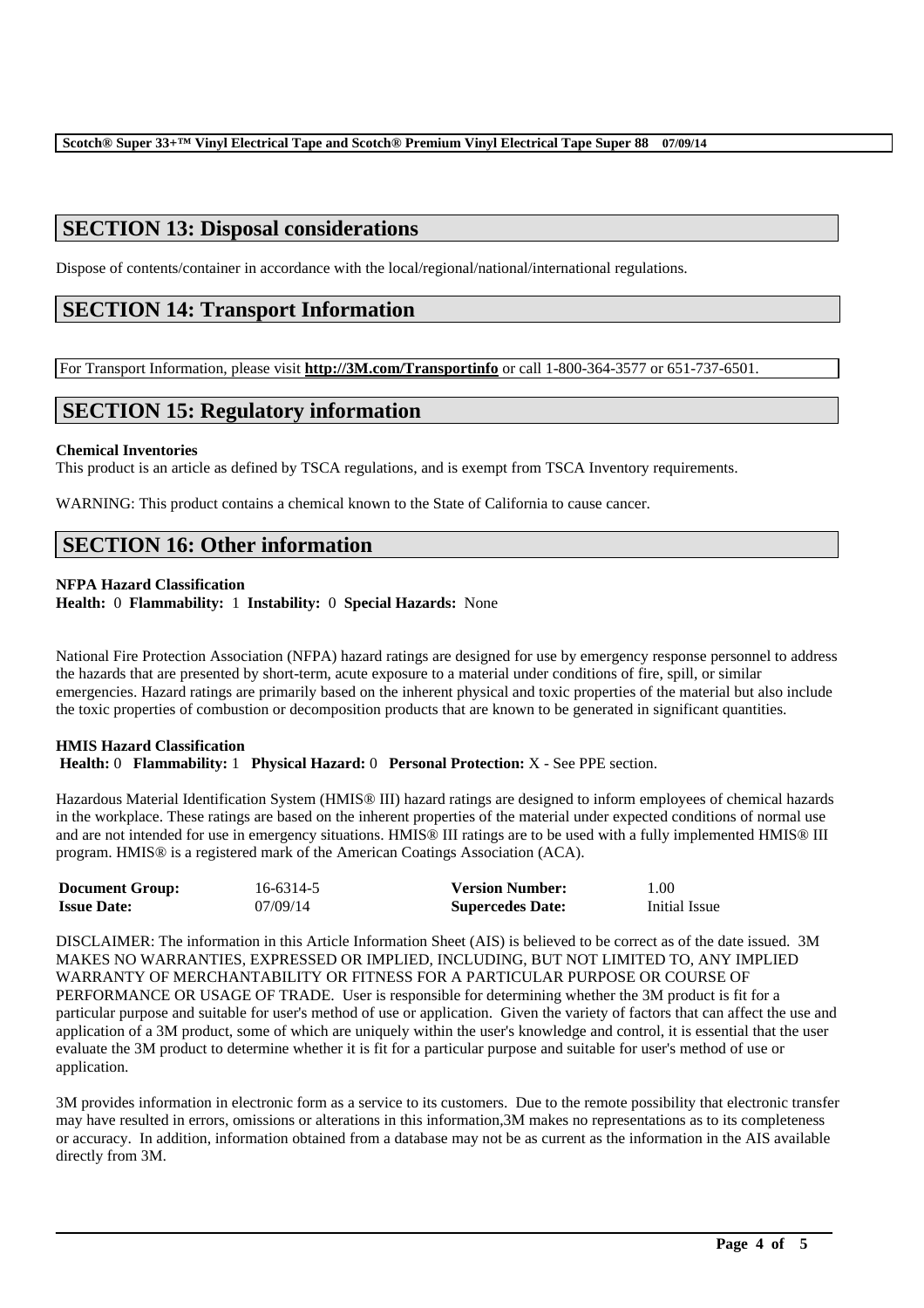# **SECTION 13: Disposal considerations**

Dispose of contents/container in accordance with the local/regional/national/international regulations.

# **SECTION 14: Transport Information**

For Transport Information, please visit **http://3M.com/Transportinfo** or call 1-800-364-3577 or 651-737-6501.

# **SECTION 15: Regulatory information**

#### **Chemical Inventories**

This product is an article as defined by TSCA regulations, and is exempt from TSCA Inventory requirements.

WARNING: This product contains a chemical known to the State of California to cause cancer.

# **SECTION 16: Other information**

#### **NFPA Hazard Classification**

**Health:** 0 **Flammability:** 1 **Instability:** 0 **Special Hazards:** None

National Fire Protection Association (NFPA) hazard ratings are designed for use by emergency response personnel to address the hazards that are presented by short-term, acute exposure to a material under conditions of fire, spill, or similar emergencies. Hazard ratings are primarily based on the inherent physical and toxic properties of the material but also include the toxic properties of combustion or decomposition products that are known to be generated in significant quantities.

#### **HMIS Hazard Classification Health:** 0 **Flammability:** 1 **Physical Hazard:** 0 **Personal Protection:** X - See PPE section.

Hazardous Material Identification System (HMIS® III) hazard ratings are designed to inform employees of chemical hazards in the workplace. These ratings are based on the inherent properties of the material under expected conditions of normal use and are not intended for use in emergency situations. HMIS® III ratings are to be used with a fully implemented HMIS® III program. HMIS® is a registered mark of the American Coatings Association (ACA).

| <b>Document Group:</b> | 16-6314-5 | <b>Version Number:</b>  | 1.00          |
|------------------------|-----------|-------------------------|---------------|
| <b>Issue Date:</b>     | 07/09/14  | <b>Supercedes Date:</b> | Initial Issue |

DISCLAIMER: The information in this Article Information Sheet (AIS) is believed to be correct as of the date issued. 3M MAKES NO WARRANTIES, EXPRESSED OR IMPLIED, INCLUDING, BUT NOT LIMITED TO, ANY IMPLIED WARRANTY OF MERCHANTABILITY OR FITNESS FOR A PARTICULAR PURPOSE OR COURSE OF PERFORMANCE OR USAGE OF TRADE. User is responsible for determining whether the 3M product is fit for a particular purpose and suitable for user's method of use or application. Given the variety of factors that can affect the use and application of a 3M product, some of which are uniquely within the user's knowledge and control, it is essential that the user evaluate the 3M product to determine whether it is fit for a particular purpose and suitable for user's method of use or application.

3M provides information in electronic form as a service to its customers. Due to the remote possibility that electronic transfer may have resulted in errors, omissions or alterations in this information,3M makes no representations as to its completeness or accuracy. In addition, information obtained from a database may not be as current as the information in the AIS available directly from 3M.

\_\_\_\_\_\_\_\_\_\_\_\_\_\_\_\_\_\_\_\_\_\_\_\_\_\_\_\_\_\_\_\_\_\_\_\_\_\_\_\_\_\_\_\_\_\_\_\_\_\_\_\_\_\_\_\_\_\_\_\_\_\_\_\_\_\_\_\_\_\_\_\_\_\_\_\_\_\_\_\_\_\_\_\_\_\_\_\_\_\_